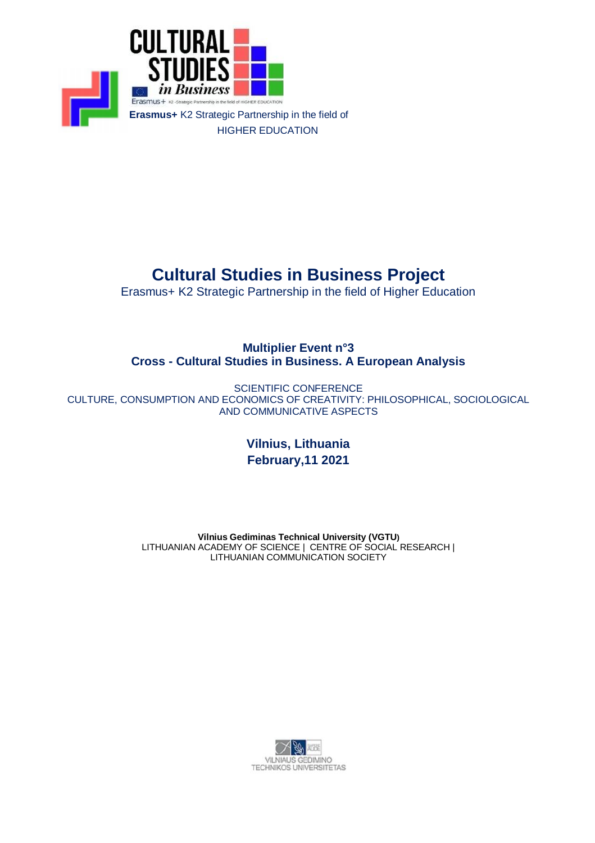

# **Cultural Studies in Business Project**

Erasmus+ K2 Strategic Partnership in the field of Higher Education

### **Multiplier Event n°3 Cross - Cultural Studies in Business. A European Analysis**

SCIENTIFIC CONFERENCE CULTURE, CONSUMPTION AND ECONOMICS OF CREATIVITY: PHILOSOPHICAL, SOCIOLOGICAL AND COMMUNICATIVE ASPECTS

> **Vilnius, Lithuania February,11 2021**

**Vilnius Gediminas Technical University (VGTU)** LITHUANIAN ACADEMY OF SCIENCE | CENTRE OF SOCIAL RESEARCH | LITHUANIAN COMMUNICATION SOCIETY

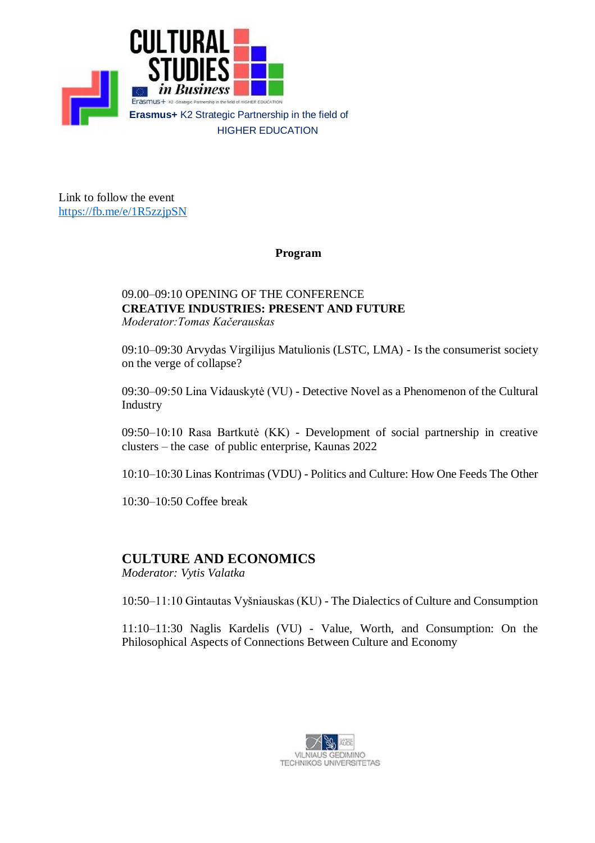

Link to follow the event <https://fb.me/e/1R5zzjpSN>

#### **Program**

#### 09.00–09:10 OPENING OF THE CONFERENCE **CREATIVE INDUSTRIES: PRESENT AND FUTURE** *Moderator:Tomas Kačerauskas*

09:10–09:30 Arvydas Virgilijus Matulionis (LSTC, LMA) - Is the consumerist society on the verge of collapse?

09:30–09:50 Lina Vidauskytė (VU) - Detective Novel as a Phenomenon of the Cultural Industry

09:50–10:10 Rasa Bartkutė (KK) - Development of social partnership in creative clusters – the case of public enterprise, Kaunas 2022

10:10–10:30 Linas Kontrimas (VDU) - Politics and Culture: How One Feeds The Other

10:30–10:50 Coffee break

# **CULTURE AND ECONOMICS**

*Moderator: Vytis Valatka*

10:50–11:10 Gintautas Vyšniauskas (KU) - The Dialectics of Culture and Consumption

11:10–11:30 Naglis Kardelis (VU) - Value, Worth, and Consumption: On the Philosophical Aspects of Connections Between Culture and Economy

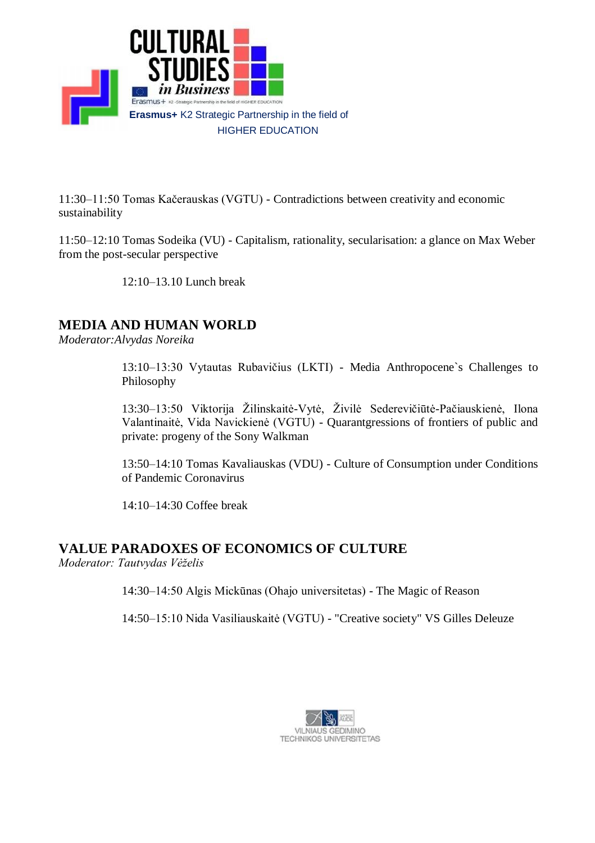

11:30–11:50 Tomas Kačerauskas (VGTU) - Contradictions between creativity and economic sustainability

11:50–12:10 Tomas Sodeika (VU) - Capitalism, rationality, secularisation: a glance on Max Weber from the post-secular perspective

12:10–13.10 Lunch break

# **MEDIA AND HUMAN WORLD**

*Moderator:Alvydas Noreika*

13:10–13:30 Vytautas Rubavičius (LKTI) - Media Anthropocene`s Challenges to Philosophy

13:30–13:50 Viktorija Žilinskaitė-Vytė, Živilė Sederevičiūtė-Pačiauskienė, Ilona Valantinaitė, Vida Navickienė (VGTU) - Quarantgressions of frontiers of public and private: progeny of the Sony Walkman

13:50–14:10 Tomas Kavaliauskas (VDU) - Culture of Consumption under Conditions of Pandemic Coronavirus

14:10–14:30 Coffee break

## **VALUE PARADOXES OF ECONOMICS OF CULTURE**

*Moderator: Tautvydas Vėželis*

14:30–14:50 Algis Mickūnas (Ohajo universitetas) - The Magic of Reason

14:50–15:10 Nida Vasiliauskaitė (VGTU) - "Creative society" VS Gilles Deleuze